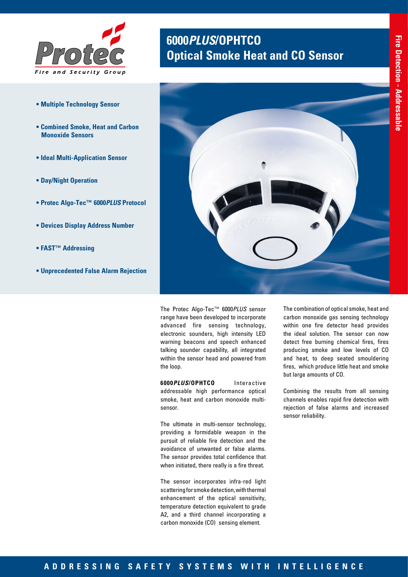

- **Multiple Technology Sensor**
- **Combined Smoke, Heat and Carbon Monoxide Sensors**
- **Ideal Multi-Application Sensor**
- **Day/Night Operation**
- **Protec Algo-Tec™ 6000***PLUS* **Protocol**
- **Devices Display Address Number**
- **FAST™ Addressing**
- **Unprecedented False Alarm Rejection**

# **6000***PLUS***/OPHTCO Optical Smoke Heat and CO Sensor**



The Protec Algo-Tec™ 6000*PLUS* sensor range have been developed to incorporate advanced fire sensing technology, electronic sounders, high intensity LED warning beacons and speech enhanced talking sounder capability, all integrated within the sensor head and powered from the loop.

**6000***PLUS***/OPHTCO** Interactive addressable high performance optical smoke, heat and carbon monoxide multisensor.

The ultimate in multi-sensor technology, providing a formidable weapon in the pursuit of reliable fire detection and the avoidance of unwanted or false alarms. The sensor provides total confidence that when initiated, there really is a fire threat.

The sensor incorporates infra-red light scattering for smoke detection, with thermal enhancement of the optical sensitivity, temperature detection equivalent to grade A2, and a third channel incorporating a carbon monoxide (CO) sensing element.

The combination of optical smoke, heat and carbon monoxide gas sensing technology within one fire detector head provides the ideal solution. The sensor can now detect free burning chemical fires, fires producing smoke and low levels of CO and heat, to deep seated smouldering fires, which produce little heat and smoke but large amounts of CO.

Combining the results from all sensing channels enables rapid fire detection with rejection of false alarms and increased sensor reliability.